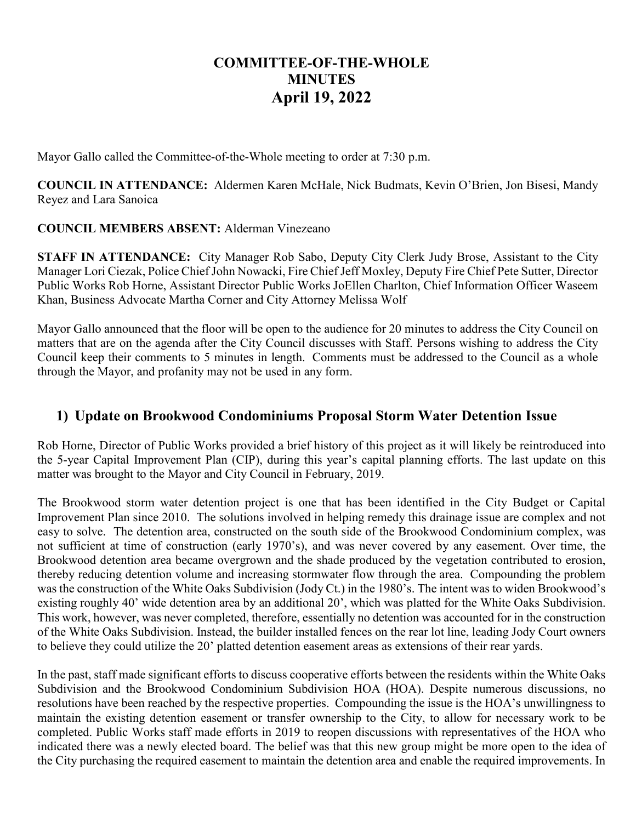# **COMMITTEE-OF-THE-WHOLE MINUTES April 19, 2022**

Mayor Gallo called the Committee-of-the-Whole meeting to order at 7:30 p.m.

**COUNCIL IN ATTENDANCE:** Aldermen Karen McHale, Nick Budmats, Kevin O'Brien, Jon Bisesi, Mandy Reyez and Lara Sanoica

#### **COUNCIL MEMBERS ABSENT:** Alderman Vinezeano

**STAFF IN ATTENDANCE:** City Manager Rob Sabo, Deputy City Clerk Judy Brose, Assistant to the City Manager Lori Ciezak, Police Chief John Nowacki, Fire Chief Jeff Moxley, Deputy Fire Chief Pete Sutter, Director Public Works Rob Horne, Assistant Director Public Works JoEllen Charlton, Chief Information Officer Waseem Khan, Business Advocate Martha Corner and City Attorney Melissa Wolf

Mayor Gallo announced that the floor will be open to the audience for 20 minutes to address the City Council on matters that are on the agenda after the City Council discusses with Staff. Persons wishing to address the City Council keep their comments to 5 minutes in length. Comments must be addressed to the Council as a whole through the Mayor, and profanity may not be used in any form.

#### **1) Update on Brookwood Condominiums Proposal Storm Water Detention Issue**

Rob Horne, Director of Public Works provided a brief history of this project as it will likely be reintroduced into the 5-year Capital Improvement Plan (CIP), during this year's capital planning efforts. The last update on this matter was brought to the Mayor and City Council in February, 2019.

The Brookwood storm water detention project is one that has been identified in the City Budget or Capital Improvement Plan since 2010. The solutions involved in helping remedy this drainage issue are complex and not easy to solve. The detention area, constructed on the south side of the Brookwood Condominium complex, was not sufficient at time of construction (early 1970's), and was never covered by any easement. Over time, the Brookwood detention area became overgrown and the shade produced by the vegetation contributed to erosion, thereby reducing detention volume and increasing stormwater flow through the area. Compounding the problem was the construction of the White Oaks Subdivision (Jody Ct.) in the 1980's. The intent was to widen Brookwood's existing roughly 40' wide detention area by an additional 20', which was platted for the White Oaks Subdivision. This work, however, was never completed, therefore, essentially no detention was accounted for in the construction of the White Oaks Subdivision. Instead, the builder installed fences on the rear lot line, leading Jody Court owners to believe they could utilize the 20' platted detention easement areas as extensions of their rear yards.

In the past, staff made significant efforts to discuss cooperative efforts between the residents within the White Oaks Subdivision and the Brookwood Condominium Subdivision HOA (HOA). Despite numerous discussions, no resolutions have been reached by the respective properties. Compounding the issue is the HOA's unwillingness to maintain the existing detention easement or transfer ownership to the City, to allow for necessary work to be completed. Public Works staff made efforts in 2019 to reopen discussions with representatives of the HOA who indicated there was a newly elected board. The belief was that this new group might be more open to the idea of the City purchasing the required easement to maintain the detention area and enable the required improvements. In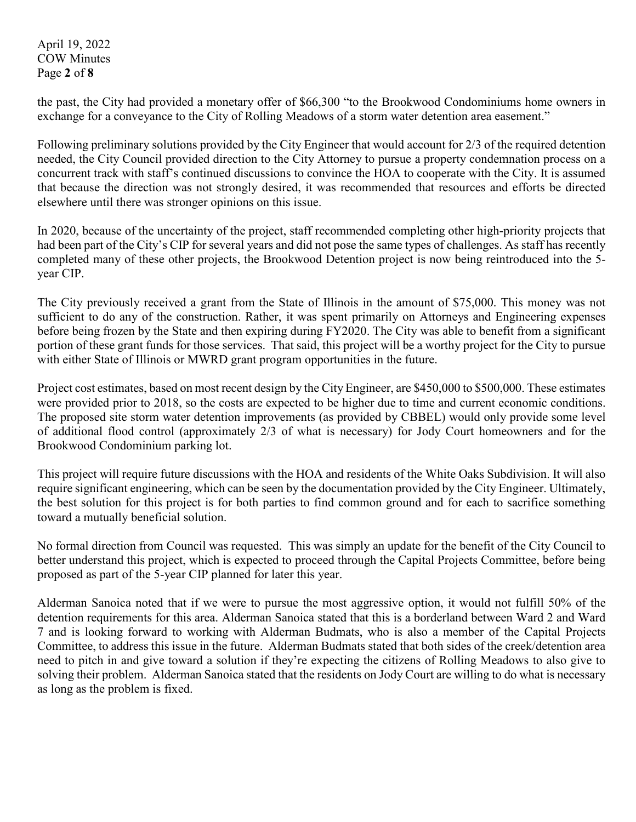April 19, 2022 COW Minutes Page **2** of **8**

the past, the City had provided a monetary offer of \$66,300 "to the Brookwood Condominiums home owners in exchange for a conveyance to the City of Rolling Meadows of a storm water detention area easement."

Following preliminary solutions provided by the City Engineer that would account for 2/3 of the required detention needed, the City Council provided direction to the City Attorney to pursue a property condemnation process on a concurrent track with staff's continued discussions to convince the HOA to cooperate with the City. It is assumed that because the direction was not strongly desired, it was recommended that resources and efforts be directed elsewhere until there was stronger opinions on this issue.

In 2020, because of the uncertainty of the project, staff recommended completing other high-priority projects that had been part of the City's CIP for several years and did not pose the same types of challenges. As staff has recently completed many of these other projects, the Brookwood Detention project is now being reintroduced into the 5 year CIP.

The City previously received a grant from the State of Illinois in the amount of \$75,000. This money was not sufficient to do any of the construction. Rather, it was spent primarily on Attorneys and Engineering expenses before being frozen by the State and then expiring during FY2020. The City was able to benefit from a significant portion of these grant funds for those services. That said, this project will be a worthy project for the City to pursue with either State of Illinois or MWRD grant program opportunities in the future.

Project cost estimates, based on most recent design by the City Engineer, are \$450,000 to \$500,000. These estimates were provided prior to 2018, so the costs are expected to be higher due to time and current economic conditions. The proposed site storm water detention improvements (as provided by CBBEL) would only provide some level of additional flood control (approximately 2/3 of what is necessary) for Jody Court homeowners and for the Brookwood Condominium parking lot.

This project will require future discussions with the HOA and residents of the White Oaks Subdivision. It will also require significant engineering, which can be seen by the documentation provided by the City Engineer. Ultimately, the best solution for this project is for both parties to find common ground and for each to sacrifice something toward a mutually beneficial solution.

No formal direction from Council was requested. This was simply an update for the benefit of the City Council to better understand this project, which is expected to proceed through the Capital Projects Committee, before being proposed as part of the 5-year CIP planned for later this year.

Alderman Sanoica noted that if we were to pursue the most aggressive option, it would not fulfill 50% of the detention requirements for this area. Alderman Sanoica stated that this is a borderland between Ward 2 and Ward 7 and is looking forward to working with Alderman Budmats, who is also a member of the Capital Projects Committee, to address this issue in the future. Alderman Budmats stated that both sides of the creek/detention area need to pitch in and give toward a solution if they're expecting the citizens of Rolling Meadows to also give to solving their problem. Alderman Sanoica stated that the residents on Jody Court are willing to do what is necessary as long as the problem is fixed.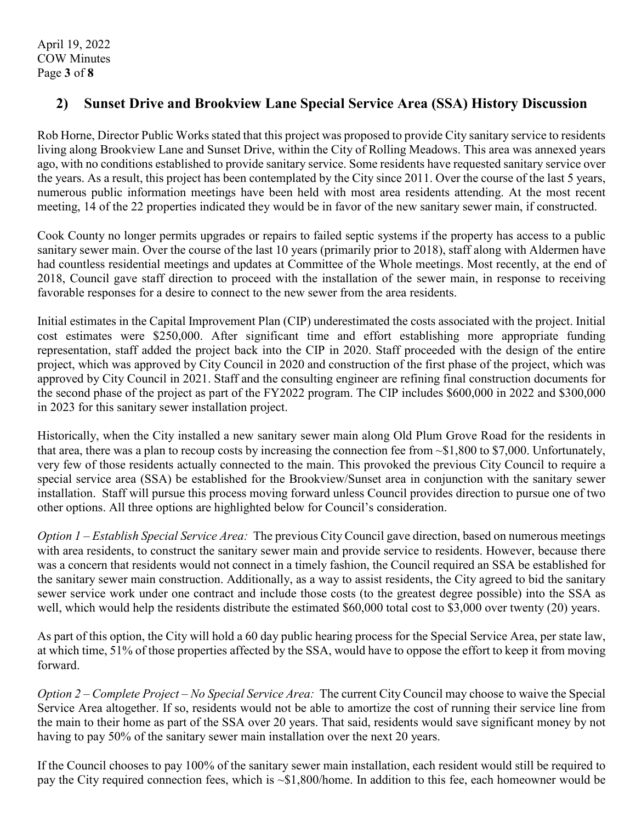### **2) Sunset Drive and Brookview Lane Special Service Area (SSA) History Discussion**

Rob Horne, Director Public Works stated that this project was proposed to provide City sanitary service to residents living along Brookview Lane and Sunset Drive, within the City of Rolling Meadows. This area was annexed years ago, with no conditions established to provide sanitary service. Some residents have requested sanitary service over the years. As a result, this project has been contemplated by the City since 2011. Over the course of the last 5 years, numerous public information meetings have been held with most area residents attending. At the most recent meeting, 14 of the 22 properties indicated they would be in favor of the new sanitary sewer main, if constructed.

Cook County no longer permits upgrades or repairs to failed septic systems if the property has access to a public sanitary sewer main. Over the course of the last 10 years (primarily prior to 2018), staff along with Aldermen have had countless residential meetings and updates at Committee of the Whole meetings. Most recently, at the end of 2018, Council gave staff direction to proceed with the installation of the sewer main, in response to receiving favorable responses for a desire to connect to the new sewer from the area residents.

Initial estimates in the Capital Improvement Plan (CIP) underestimated the costs associated with the project. Initial cost estimates were \$250,000. After significant time and effort establishing more appropriate funding representation, staff added the project back into the CIP in 2020. Staff proceeded with the design of the entire project, which was approved by City Council in 2020 and construction of the first phase of the project, which was approved by City Council in 2021. Staff and the consulting engineer are refining final construction documents for the second phase of the project as part of the FY2022 program. The CIP includes \$600,000 in 2022 and \$300,000 in 2023 for this sanitary sewer installation project.

Historically, when the City installed a new sanitary sewer main along Old Plum Grove Road for the residents in that area, there was a plan to recoup costs by increasing the connection fee from ~\$1,800 to \$7,000. Unfortunately, very few of those residents actually connected to the main. This provoked the previous City Council to require a special service area (SSA) be established for the Brookview/Sunset area in conjunction with the sanitary sewer installation. Staff will pursue this process moving forward unless Council provides direction to pursue one of two other options. All three options are highlighted below for Council's consideration.

*Option 1 – Establish Special Service Area:*The previous City Council gave direction, based on numerous meetings with area residents, to construct the sanitary sewer main and provide service to residents. However, because there was a concern that residents would not connect in a timely fashion, the Council required an SSA be established for the sanitary sewer main construction. Additionally, as a way to assist residents, the City agreed to bid the sanitary sewer service work under one contract and include those costs (to the greatest degree possible) into the SSA as well, which would help the residents distribute the estimated \$60,000 total cost to \$3,000 over twenty (20) years.

As part of this option, the City will hold a 60 day public hearing process for the Special Service Area, per state law, at which time, 51% of those properties affected by the SSA, would have to oppose the effort to keep it from moving forward.

*Option 2 – Complete Project – No Special Service Area:*The current City Council may choose to waive the Special Service Area altogether. If so, residents would not be able to amortize the cost of running their service line from the main to their home as part of the SSA over 20 years. That said, residents would save significant money by not having to pay 50% of the sanitary sewer main installation over the next 20 years.

If the Council chooses to pay 100% of the sanitary sewer main installation, each resident would still be required to pay the City required connection fees, which is ~\$1,800/home. In addition to this fee, each homeowner would be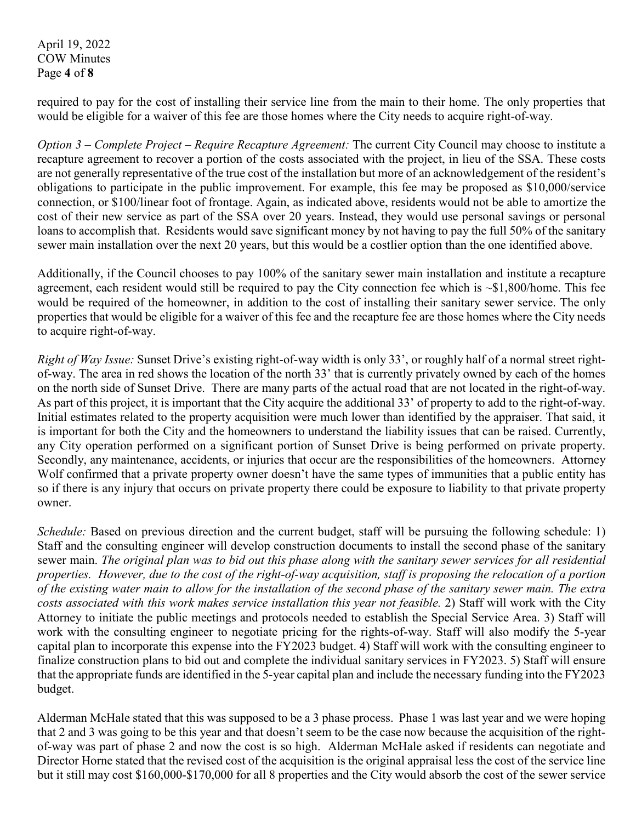April 19, 2022 COW Minutes Page **4** of **8**

required to pay for the cost of installing their service line from the main to their home. The only properties that would be eligible for a waiver of this fee are those homes where the City needs to acquire right-of-way.

*Option 3 – Complete Project – Require Recapture Agreement:* The current City Council may choose to institute a recapture agreement to recover a portion of the costs associated with the project, in lieu of the SSA. These costs are not generally representative of the true cost of the installation but more of an acknowledgement of the resident's obligations to participate in the public improvement. For example, this fee may be proposed as \$10,000/service connection, or \$100/linear foot of frontage. Again, as indicated above, residents would not be able to amortize the cost of their new service as part of the SSA over 20 years. Instead, they would use personal savings or personal loans to accomplish that. Residents would save significant money by not having to pay the full 50% of the sanitary sewer main installation over the next 20 years, but this would be a costlier option than the one identified above.

Additionally, if the Council chooses to pay 100% of the sanitary sewer main installation and institute a recapture agreement, each resident would still be required to pay the City connection fee which is ~\$1,800/home. This fee would be required of the homeowner, in addition to the cost of installing their sanitary sewer service. The only properties that would be eligible for a waiver of this fee and the recapture fee are those homes where the City needs to acquire right-of-way.

*Right of Way Issue:* Sunset Drive's existing right-of-way width is only 33', or roughly half of a normal street rightof-way. The area in red shows the location of the north 33' that is currently privately owned by each of the homes on the north side of Sunset Drive. There are many parts of the actual road that are not located in the right-of-way. As part of this project, it is important that the City acquire the additional 33' of property to add to the right-of-way. Initial estimates related to the property acquisition were much lower than identified by the appraiser. That said, it is important for both the City and the homeowners to understand the liability issues that can be raised. Currently, any City operation performed on a significant portion of Sunset Drive is being performed on private property. Secondly, any maintenance, accidents, or injuries that occur are the responsibilities of the homeowners. Attorney Wolf confirmed that a private property owner doesn't have the same types of immunities that a public entity has so if there is any injury that occurs on private property there could be exposure to liability to that private property owner.

*Schedule:* Based on previous direction and the current budget, staff will be pursuing the following schedule: 1) Staff and the consulting engineer will develop construction documents to install the second phase of the sanitary sewer main. *The original plan was to bid out this phase along with the sanitary sewer services for all residential properties. However, due to the cost of the right-of-way acquisition, staff is proposing the relocation of a portion of the existing water main to allow for the installation of the second phase of the sanitary sewer main. The extra costs associated with this work makes service installation this year not feasible.* 2) Staff will work with the City Attorney to initiate the public meetings and protocols needed to establish the Special Service Area. 3) Staff will work with the consulting engineer to negotiate pricing for the rights-of-way. Staff will also modify the 5-year capital plan to incorporate this expense into the FY2023 budget. 4) Staff will work with the consulting engineer to finalize construction plans to bid out and complete the individual sanitary services in FY2023. 5) Staff will ensure that the appropriate funds are identified in the 5-year capital plan and include the necessary funding into the FY2023 budget.

Alderman McHale stated that this was supposed to be a 3 phase process. Phase 1 was last year and we were hoping that 2 and 3 was going to be this year and that doesn't seem to be the case now because the acquisition of the rightof-way was part of phase 2 and now the cost is so high. Alderman McHale asked if residents can negotiate and Director Horne stated that the revised cost of the acquisition is the original appraisal less the cost of the service line but it still may cost \$160,000-\$170,000 for all 8 properties and the City would absorb the cost of the sewer service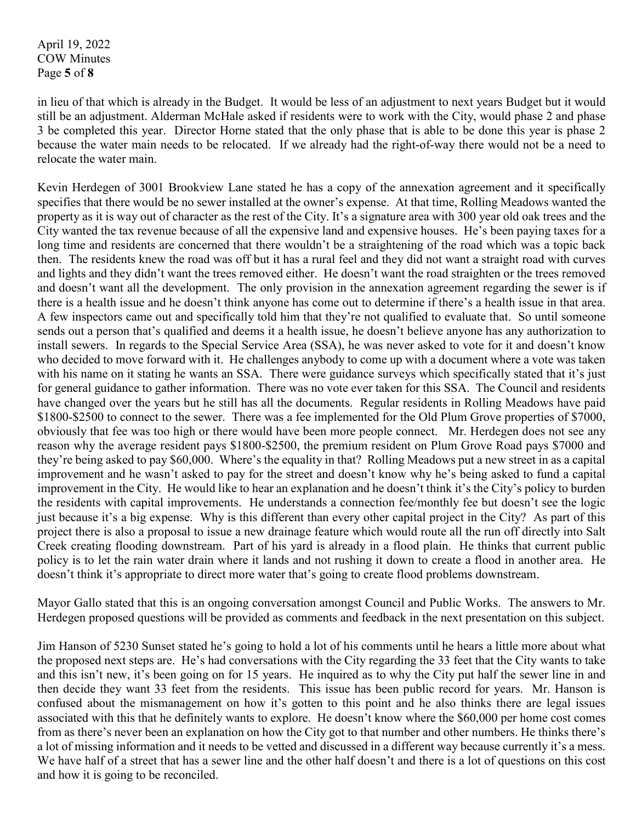April 19, 2022 COW Minutes Page **5** of **8**

in lieu of that which is already in the Budget. It would be less of an adjustment to next years Budget but it would still be an adjustment. Alderman McHale asked if residents were to work with the City, would phase 2 and phase 3 be completed this year. Director Horne stated that the only phase that is able to be done this year is phase 2 because the water main needs to be relocated. If we already had the right-of-way there would not be a need to relocate the water main.

Kevin Herdegen of 3001 Brookview Lane stated he has a copy of the annexation agreement and it specifically specifies that there would be no sewer installed at the owner's expense. At that time, Rolling Meadows wanted the property as it is way out of character as the rest of the City. It's a signature area with 300 year old oak trees and the City wanted the tax revenue because of all the expensive land and expensive houses. He's been paying taxes for a long time and residents are concerned that there wouldn't be a straightening of the road which was a topic back then. The residents knew the road was off but it has a rural feel and they did not want a straight road with curves and lights and they didn't want the trees removed either. He doesn't want the road straighten or the trees removed and doesn't want all the development. The only provision in the annexation agreement regarding the sewer is if there is a health issue and he doesn't think anyone has come out to determine if there's a health issue in that area. A few inspectors came out and specifically told him that they're not qualified to evaluate that. So until someone sends out a person that's qualified and deems it a health issue, he doesn't believe anyone has any authorization to install sewers. In regards to the Special Service Area (SSA), he was never asked to vote for it and doesn't know who decided to move forward with it. He challenges anybody to come up with a document where a vote was taken with his name on it stating he wants an SSA. There were guidance surveys which specifically stated that it's just for general guidance to gather information. There was no vote ever taken for this SSA. The Council and residents have changed over the years but he still has all the documents. Regular residents in Rolling Meadows have paid \$1800-\$2500 to connect to the sewer. There was a fee implemented for the Old Plum Grove properties of \$7000, obviously that fee was too high or there would have been more people connect. Mr. Herdegen does not see any reason why the average resident pays \$1800-\$2500, the premium resident on Plum Grove Road pays \$7000 and they're being asked to pay \$60,000. Where's the equality in that? Rolling Meadows put a new street in as a capital improvement and he wasn't asked to pay for the street and doesn't know why he's being asked to fund a capital improvement in the City. He would like to hear an explanation and he doesn't think it's the City's policy to burden the residents with capital improvements. He understands a connection fee/monthly fee but doesn't see the logic just because it's a big expense. Why is this different than every other capital project in the City? As part of this project there is also a proposal to issue a new drainage feature which would route all the run off directly into Salt Creek creating flooding downstream. Part of his yard is already in a flood plain. He thinks that current public policy is to let the rain water drain where it lands and not rushing it down to create a flood in another area. He doesn't think it's appropriate to direct more water that's going to create flood problems downstream.

Mayor Gallo stated that this is an ongoing conversation amongst Council and Public Works. The answers to Mr. Herdegen proposed questions will be provided as comments and feedback in the next presentation on this subject.

Jim Hanson of 5230 Sunset stated he's going to hold a lot of his comments until he hears a little more about what the proposed next steps are. He's had conversations with the City regarding the 33 feet that the City wants to take and this isn't new, it's been going on for 15 years. He inquired as to why the City put half the sewer line in and then decide they want 33 feet from the residents. This issue has been public record for years. Mr. Hanson is confused about the mismanagement on how it's gotten to this point and he also thinks there are legal issues associated with this that he definitely wants to explore. He doesn't know where the \$60,000 per home cost comes from as there's never been an explanation on how the City got to that number and other numbers. He thinks there's a lot of missing information and it needs to be vetted and discussed in a different way because currently it's a mess. We have half of a street that has a sewer line and the other half doesn't and there is a lot of questions on this cost and how it is going to be reconciled.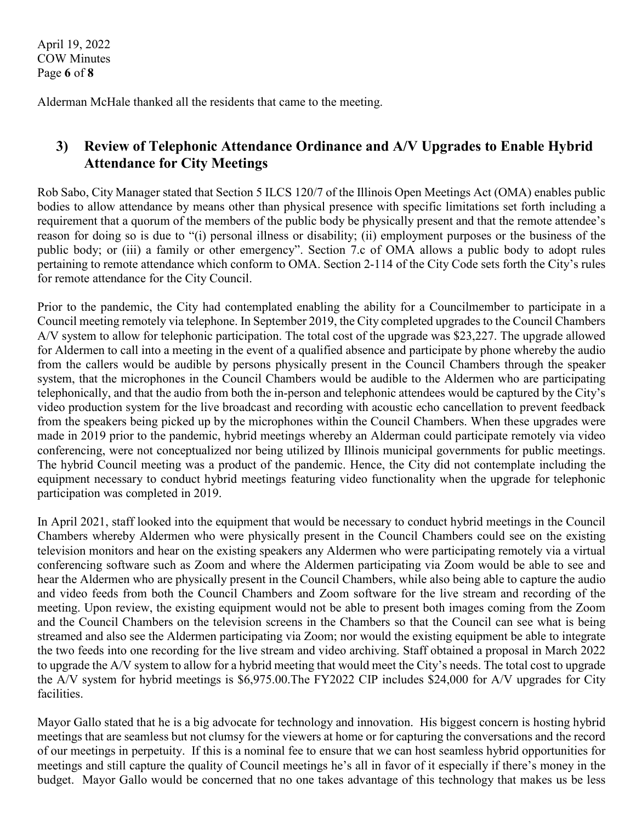April 19, 2022 COW Minutes Page **6** of **8**

Alderman McHale thanked all the residents that came to the meeting.

## **3) Review of Telephonic Attendance Ordinance and A/V Upgrades to Enable Hybrid Attendance for City Meetings**

Rob Sabo, City Manager stated that Section 5 ILCS 120/7 of the Illinois Open Meetings Act (OMA) enables public bodies to allow attendance by means other than physical presence with specific limitations set forth including a requirement that a quorum of the members of the public body be physically present and that the remote attendee's reason for doing so is due to "(i) personal illness or disability; (ii) employment purposes or the business of the public body; or (iii) a family or other emergency". Section 7.c of OMA allows a public body to adopt rules pertaining to remote attendance which conform to OMA. Section 2-114 of the City Code sets forth the City's rules for remote attendance for the City Council.

Prior to the pandemic, the City had contemplated enabling the ability for a Councilmember to participate in a Council meeting remotely via telephone. In September 2019, the City completed upgrades to the Council Chambers A/V system to allow for telephonic participation. The total cost of the upgrade was \$23,227. The upgrade allowed for Aldermen to call into a meeting in the event of a qualified absence and participate by phone whereby the audio from the callers would be audible by persons physically present in the Council Chambers through the speaker system, that the microphones in the Council Chambers would be audible to the Aldermen who are participating telephonically, and that the audio from both the in-person and telephonic attendees would be captured by the City's video production system for the live broadcast and recording with acoustic echo cancellation to prevent feedback from the speakers being picked up by the microphones within the Council Chambers. When these upgrades were made in 2019 prior to the pandemic, hybrid meetings whereby an Alderman could participate remotely via video conferencing, were not conceptualized nor being utilized by Illinois municipal governments for public meetings. The hybrid Council meeting was a product of the pandemic. Hence, the City did not contemplate including the equipment necessary to conduct hybrid meetings featuring video functionality when the upgrade for telephonic participation was completed in 2019.

In April 2021, staff looked into the equipment that would be necessary to conduct hybrid meetings in the Council Chambers whereby Aldermen who were physically present in the Council Chambers could see on the existing television monitors and hear on the existing speakers any Aldermen who were participating remotely via a virtual conferencing software such as Zoom and where the Aldermen participating via Zoom would be able to see and hear the Aldermen who are physically present in the Council Chambers, while also being able to capture the audio and video feeds from both the Council Chambers and Zoom software for the live stream and recording of the meeting. Upon review, the existing equipment would not be able to present both images coming from the Zoom and the Council Chambers on the television screens in the Chambers so that the Council can see what is being streamed and also see the Aldermen participating via Zoom; nor would the existing equipment be able to integrate the two feeds into one recording for the live stream and video archiving. Staff obtained a proposal in March 2022 to upgrade the A/V system to allow for a hybrid meeting that would meet the City's needs. The total cost to upgrade the A/V system for hybrid meetings is \$6,975.00.The FY2022 CIP includes \$24,000 for A/V upgrades for City facilities.

Mayor Gallo stated that he is a big advocate for technology and innovation. His biggest concern is hosting hybrid meetings that are seamless but not clumsy for the viewers at home or for capturing the conversations and the record of our meetings in perpetuity. If this is a nominal fee to ensure that we can host seamless hybrid opportunities for meetings and still capture the quality of Council meetings he's all in favor of it especially if there's money in the budget. Mayor Gallo would be concerned that no one takes advantage of this technology that makes us be less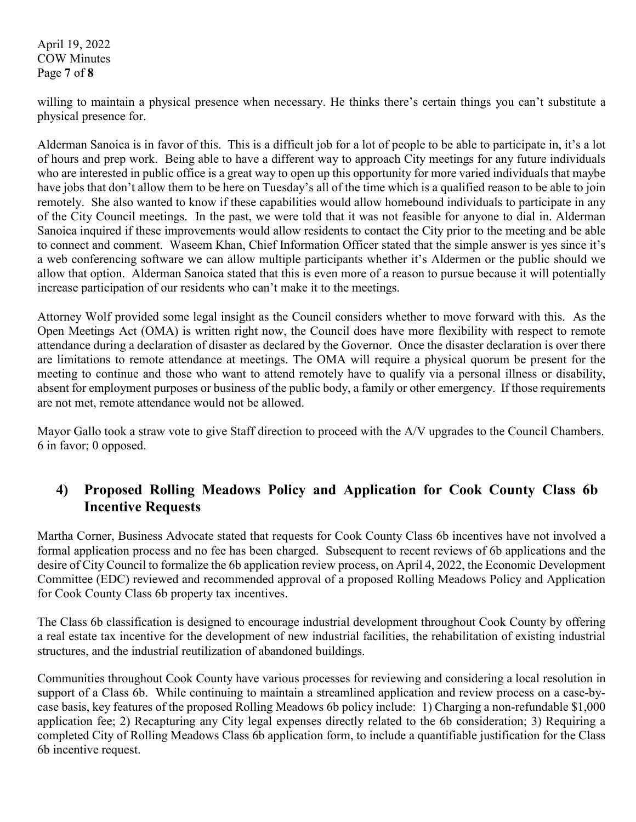April 19, 2022 COW Minutes Page **7** of **8**

willing to maintain a physical presence when necessary. He thinks there's certain things you can't substitute a physical presence for.

Alderman Sanoica is in favor of this. This is a difficult job for a lot of people to be able to participate in, it's a lot of hours and prep work. Being able to have a different way to approach City meetings for any future individuals who are interested in public office is a great way to open up this opportunity for more varied individuals that maybe have jobs that don't allow them to be here on Tuesday's all of the time which is a qualified reason to be able to join remotely. She also wanted to know if these capabilities would allow homebound individuals to participate in any of the City Council meetings. In the past, we were told that it was not feasible for anyone to dial in. Alderman Sanoica inquired if these improvements would allow residents to contact the City prior to the meeting and be able to connect and comment. Waseem Khan, Chief Information Officer stated that the simple answer is yes since it's a web conferencing software we can allow multiple participants whether it's Aldermen or the public should we allow that option. Alderman Sanoica stated that this is even more of a reason to pursue because it will potentially increase participation of our residents who can't make it to the meetings.

Attorney Wolf provided some legal insight as the Council considers whether to move forward with this. As the Open Meetings Act (OMA) is written right now, the Council does have more flexibility with respect to remote attendance during a declaration of disaster as declared by the Governor. Once the disaster declaration is over there are limitations to remote attendance at meetings. The OMA will require a physical quorum be present for the meeting to continue and those who want to attend remotely have to qualify via a personal illness or disability, absent for employment purposes or business of the public body, a family or other emergency. If those requirements are not met, remote attendance would not be allowed.

Mayor Gallo took a straw vote to give Staff direction to proceed with the A/V upgrades to the Council Chambers. 6 in favor; 0 opposed.

#### **4) Proposed Rolling Meadows Policy and Application for Cook County Class 6b Incentive Requests**

Martha Corner, Business Advocate stated that requests for Cook County Class 6b incentives have not involved a formal application process and no fee has been charged. Subsequent to recent reviews of 6b applications and the desire of City Council to formalize the 6b application review process, on April 4, 2022, the Economic Development Committee (EDC) reviewed and recommended approval of a proposed Rolling Meadows Policy and Application for Cook County Class 6b property tax incentives.

The Class 6b classification is designed to encourage industrial development throughout Cook County by offering a real estate tax incentive for the development of new industrial facilities, the rehabilitation of existing industrial structures, and the industrial reutilization of abandoned buildings.

Communities throughout Cook County have various processes for reviewing and considering a local resolution in support of a Class 6b. While continuing to maintain a streamlined application and review process on a case-bycase basis, key features of the proposed Rolling Meadows 6b policy include: 1) Charging a non-refundable \$1,000 application fee; 2) Recapturing any City legal expenses directly related to the 6b consideration; 3) Requiring a completed City of Rolling Meadows Class 6b application form, to include a quantifiable justification for the Class 6b incentive request.